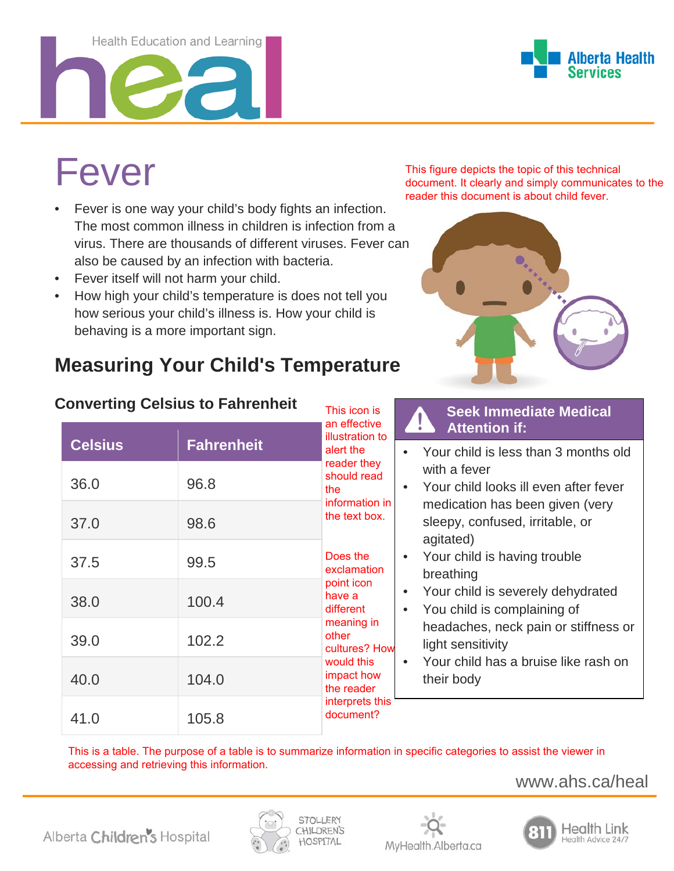#### Health Education and Learning



# Fever

- Fever is one way your child's body fights an infection. The most common illness in children is infection from a virus. There are thousands of different viruses. Fever can also be caused by an infection with bacteria.
- Fever itself will not harm your child.
- How high your child's temperature is does not tell you how serious your child's illness is. How your child is behaving is a more important sign.

## **Measuring Your Child's Temperature**

This figure depicts the topic of this technical document. It clearly and simply communicates to the reader this document is about child fever.



| Converting Celsius to Fahrenheit |                |                   | This icon is                                                                                                                                                                                                                                           |           | <b>Seek Immediate Medical</b>                                                                                                                                                                                                    |
|----------------------------------|----------------|-------------------|--------------------------------------------------------------------------------------------------------------------------------------------------------------------------------------------------------------------------------------------------------|-----------|----------------------------------------------------------------------------------------------------------------------------------------------------------------------------------------------------------------------------------|
|                                  | <b>Celsius</b> | <b>Fahrenheit</b> | an effective<br>illustration to<br>alert the                                                                                                                                                                                                           |           | <b>Attention if:</b>                                                                                                                                                                                                             |
|                                  | 36.0           | 96.8              | reader they<br>should read<br>the<br>information in<br>the text box.<br>Does the<br>exclamation<br>point icon<br>have a<br>different<br>meaning in<br>other<br>cultures? How<br>would this<br>impact how<br>the reader<br>interprets this<br>document? |           | Your child is less than 3 months old<br>with a fever<br>Your child looks ill even after fever                                                                                                                                    |
|                                  | 37.0           | 98.6              |                                                                                                                                                                                                                                                        |           | medication has been given (very<br>sleepy, confused, irritable, or<br>agitated)                                                                                                                                                  |
|                                  | 37.5           | 99.5              |                                                                                                                                                                                                                                                        | $\bullet$ | Your child is having trouble<br>breathing<br>Your child is severely dehydrated<br>You child is complaining of<br>headaches, neck pain or stiffness or<br>light sensitivity<br>Your child has a bruise like rash on<br>their body |
|                                  | 38.0           | 100.4             |                                                                                                                                                                                                                                                        |           |                                                                                                                                                                                                                                  |
|                                  | 39.0           | 102.2             |                                                                                                                                                                                                                                                        |           |                                                                                                                                                                                                                                  |
|                                  | 40.0           | 104.0             |                                                                                                                                                                                                                                                        |           |                                                                                                                                                                                                                                  |
|                                  | 41.0           | 105.8             |                                                                                                                                                                                                                                                        |           |                                                                                                                                                                                                                                  |

#### **Converting Celsius to Fahrenheit**

This is a table. The purpose of a table is to summarize information in specific categories to assist the viewer in accessing and retrieving this information.

www.ahs.ca/heal





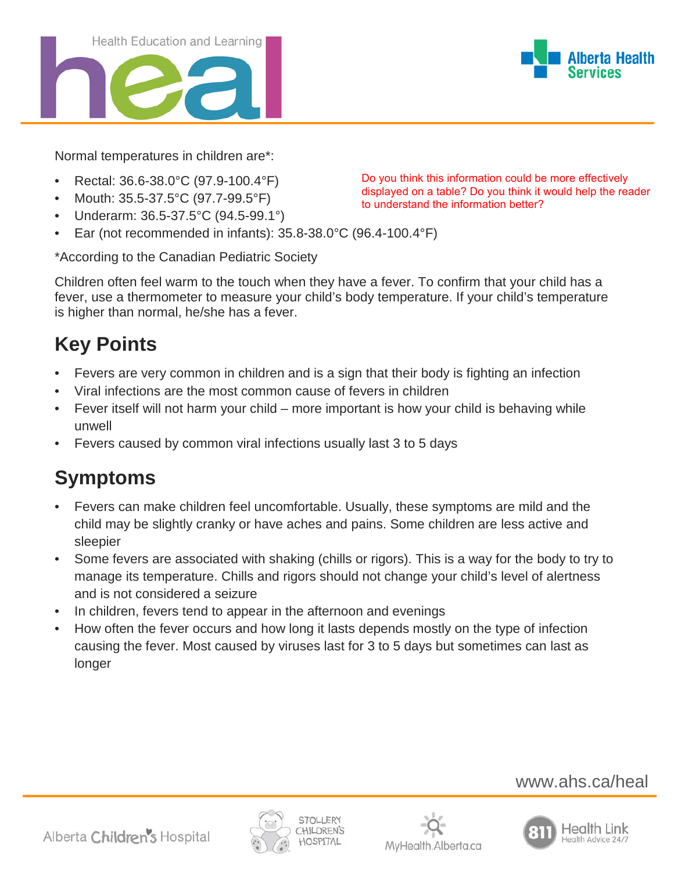

Normal temperatures in children are\*:

- Rectal: 36.6-38.0°C (97.9-100.4°F)
- Mouth: 35.5-37.5°C (97.7-99.5°F)
- Underarm: 36.5-37.5°C (94.5-99.1°)
- Ear (not recommended in infants): 35.8-38.0°C (96.4-100.4°F)

\*According to the Canadian Pediatric Society

Children often feel warm to the touch when they have a fever. To confirm that your child has a fever, use a thermometer to measure your child's body temperature. If your child's temperature is higher than normal, he/she has a fever.

## **Key Points**

- Fevers are very common in children and is a sign that their body is fighting an infection
- Viral infections are the most common cause of fevers in children
- Fever itself will not harm your child more important is how your child is behaving while unwell
- Fevers caused by common viral infections usually last 3 to 5 days

## **Symptoms**

- Fevers can make children feel uncomfortable. Usually, these symptoms are mild and the child may be slightly cranky or have aches and pains. Some children are less active and sleepier
- Some fevers are associated with shaking (chills or rigors). This is a way for the body to try to manage its temperature. Chills and rigors should not change your child's level of alertness and is not considered a [seizure](http://wwwstg.albertahealthservices.ca/info/page12434.aspx)
- In children, fevers tend to appear in the afternoon and evenings
- How often the fever occurs and how long it lasts depends mostly on the type of infection causing the fever. Most caused by viruses last for 3 to 5 days but sometimes can last as longer

## www.ahs.ca/heal







Do you think this information could be more effectively displayed on a table? Do you think it would help the reader to understand the information better?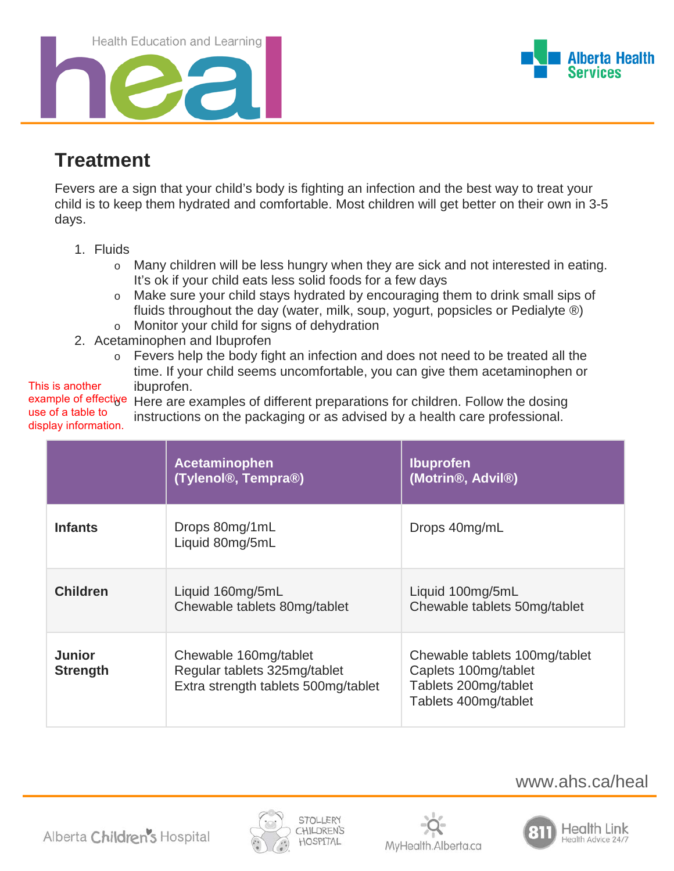Health Education and Learning





## **Treatment**

Fevers are a sign that your child's body is fighting an infection and the best way to treat your child is to keep them hydrated and comfortable. Most children will get better on their own in 3-5 days.

- 1. Fluids
	- o Many children will be less hungry when they are sick and not interested in eating. It's ok if your child eats less solid foods for a few days
	- o Make sure your child stays hydrated by encouraging them to drink small sips of fluids throughout the day (water, milk, soup, yogurt, popsicles or Pedialyte ®) o Monitor your child for signs of [dehydration](http://wwwstg.albertahealthservices.ca/info/page12429.aspx)
- 2. Acetaminophen and Ibuprofen
	- o Fevers help the body fight an infection and does not need to be treated all the time. If your child seems uncomfortable, you can give them acetaminophen or ibuprofen.

This is another use of a table to

example of effective Here are examples of different preparations for children. Follow the dosing instructions on the packaging or as advised by a health care professional. display information.

|                                  | Acetaminophen<br>(Tylenol <sup>®</sup> , Tempra <sup>®</sup> )                               | <b>Ibuprofen</b><br>(Motrin <sup>®</sup> , Advil <sup>®</sup> )                                       |
|----------------------------------|----------------------------------------------------------------------------------------------|-------------------------------------------------------------------------------------------------------|
| <b>Infants</b>                   | Drops 80mg/1mL<br>Liquid 80mg/5mL                                                            | Drops 40mg/mL                                                                                         |
| <b>Children</b>                  | Liquid 160mg/5mL<br>Chewable tablets 80mg/tablet                                             | Liquid 100mg/5mL<br>Chewable tablets 50mg/tablet                                                      |
| <b>Junior</b><br><b>Strength</b> | Chewable 160mg/tablet<br>Regular tablets 325mg/tablet<br>Extra strength tablets 500mg/tablet | Chewable tablets 100mg/tablet<br>Caplets 100mg/tablet<br>Tablets 200mg/tablet<br>Tablets 400mg/tablet |







www.ahs.ca/heal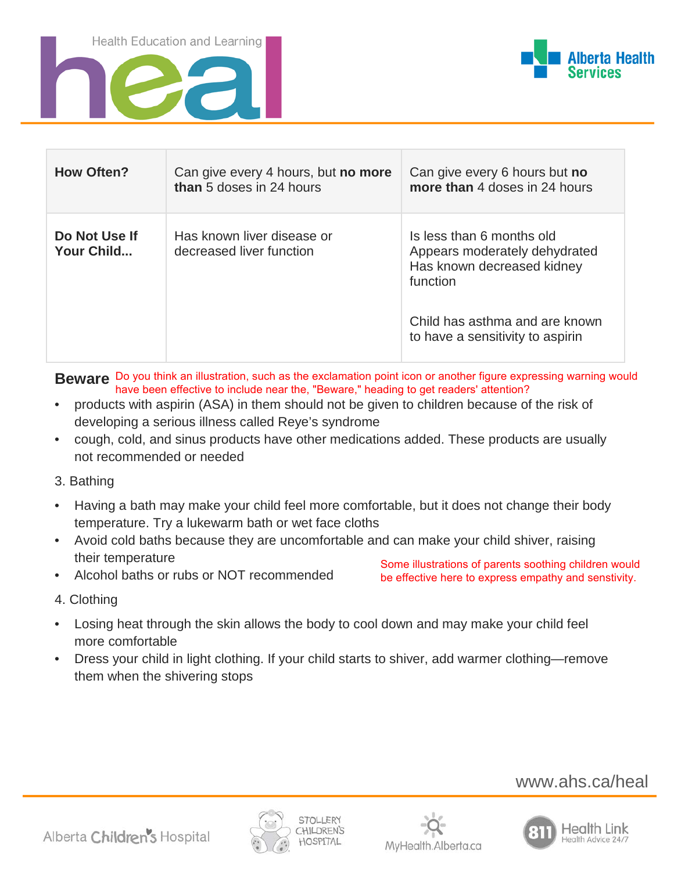Health Education and Learning





| <b>How Often?</b>           | Can give every 4 hours, but no more<br>than 5 doses in 24 hours | Can give every 6 hours but no<br>more than 4 doses in 24 hours                                       |
|-----------------------------|-----------------------------------------------------------------|------------------------------------------------------------------------------------------------------|
| Do Not Use If<br>Your Child | Has known liver disease or<br>decreased liver function          | Is less than 6 months old<br>Appears moderately dehydrated<br>Has known decreased kidney<br>function |
|                             |                                                                 | Child has asthma and are known<br>to have a sensitivity to aspirin                                   |

**Beware** Do you think an illustration, such as the exclamation point icon or another figure expressing warning would have been effective to include near the, "Beware," heading to get readers' attention?

- products with aspirin (ASA) in them should not be given to children because of the risk of developing a serious illness called Reye's syndrome
- cough, cold, and sinus products have other medications added. These products are usually not recommended or needed
- 3. Bathing
- Having a bath may make your child feel more comfortable, but it does not change their body temperature. Try a lukewarm bath or wet face cloths
- Avoid cold baths because they are uncomfortable and can make your child shiver, raising their temperature
- Alcohol baths or rubs or NOT recommended

Some illustrations of parents soothing children would be effective here to express empathy and senstivity.

- 4. Clothing
- Losing heat through the skin allows the body to cool down and may make your child feel more comfortable
- Dress your child in light clothing. If your child starts to shiver, add warmer clothing—remove them when the shivering stops

www.ahs.ca/heal